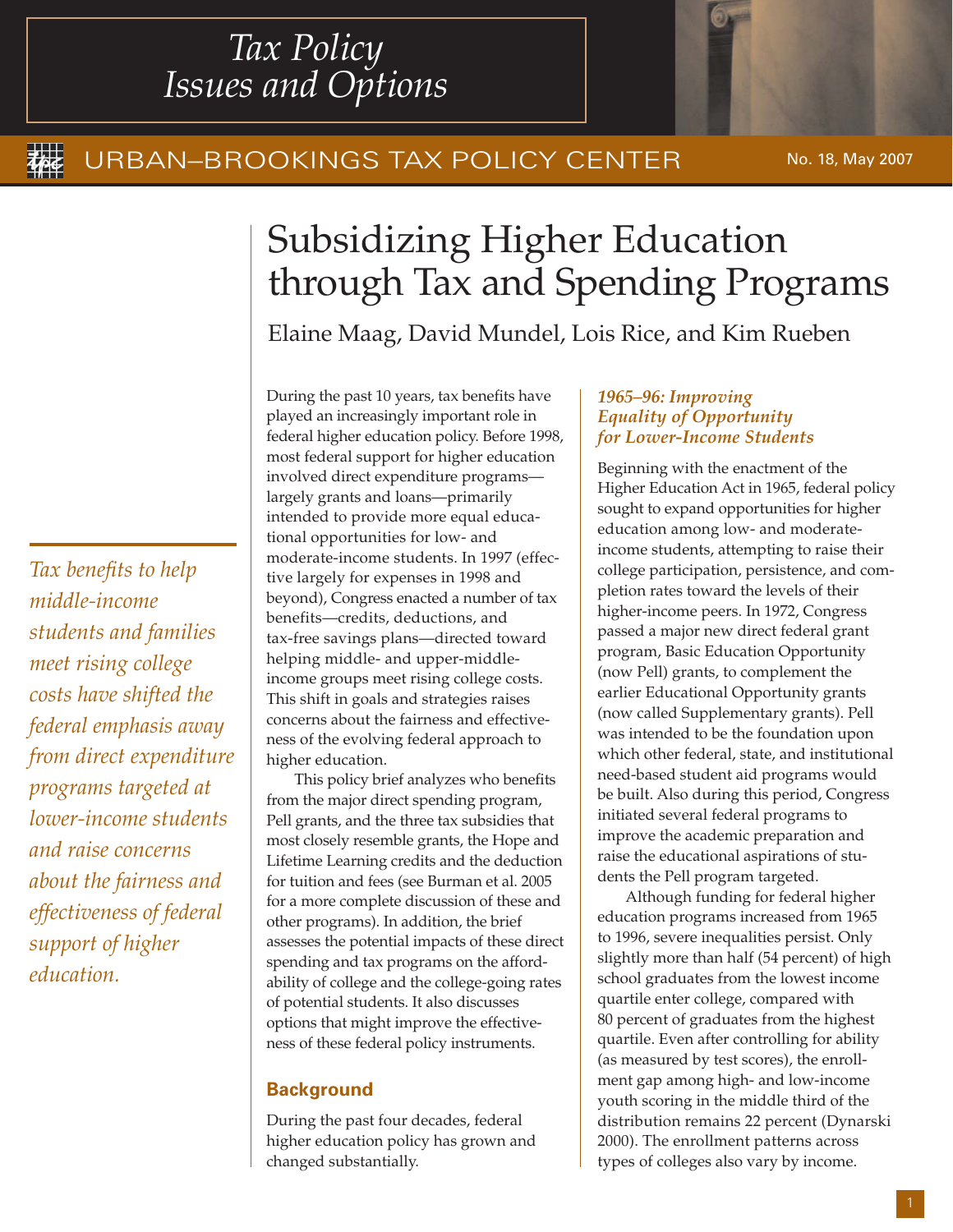## *Tax Policy Issues and Options*

### URBAN–BROOKINGS TAX POLICY CENTER No. 18, May 2007

# Subsidizing Higher Education through Tax and Spending Programs

Elaine Maag, David Mundel, Lois Rice, and Kim Rueben

*Tax benefits to help middle-income students and families meet rising college costs have shifted the federal emphasis away from direct expenditure programs targeted at lower-income students and raise concerns about the fairness and effectiveness of federal support of higher education.*

During the past 10 years, tax benefits have played an increasingly important role in federal higher education policy. Before 1998, most federal support for higher education involved direct expenditure programs largely grants and loans—primarily intended to provide more equal educational opportunities for low- and moderate-income students. In 1997 (effective largely for expenses in 1998 and beyond), Congress enacted a number of tax benefits—credits, deductions, and tax-free savings plans—directed toward helping middle- and upper-middleincome groups meet rising college costs. This shift in goals and strategies raises concerns about the fairness and effectiveness of the evolving federal approach to higher education.

This policy brief analyzes who benefits from the major direct spending program, Pell grants, and the three tax subsidies that most closely resemble grants, the Hope and Lifetime Learning credits and the deduction for tuition and fees (see Burman et al. 2005 for a more complete discussion of these and other programs). In addition, the brief assesses the potential impacts of these direct spending and tax programs on the affordability of college and the college-going rates of potential students. It also discusses options that might improve the effectiveness of these federal policy instruments.

#### **Background**

During the past four decades, federal higher education policy has grown and changed substantially.

#### *1965–96: Improving Equality of Opportunity for Lower-Income Students*

Beginning with the enactment of the Higher Education Act in 1965, federal policy sought to expand opportunities for higher education among low- and moderateincome students, attempting to raise their college participation, persistence, and completion rates toward the levels of their higher-income peers. In 1972, Congress passed a major new direct federal grant program, Basic Education Opportunity (now Pell) grants, to complement the earlier Educational Opportunity grants (now called Supplementary grants). Pell was intended to be the foundation upon which other federal, state, and institutional need-based student aid programs would be built. Also during this period, Congress initiated several federal programs to improve the academic preparation and raise the educational aspirations of students the Pell program targeted.

Although funding for federal higher education programs increased from 1965 to 1996, severe inequalities persist. Only slightly more than half (54 percent) of high school graduates from the lowest income quartile enter college, compared with 80 percent of graduates from the highest quartile. Even after controlling for ability (as measured by test scores), the enrollment gap among high- and low-income youth scoring in the middle third of the distribution remains 22 percent (Dynarski 2000). The enrollment patterns across types of colleges also vary by income.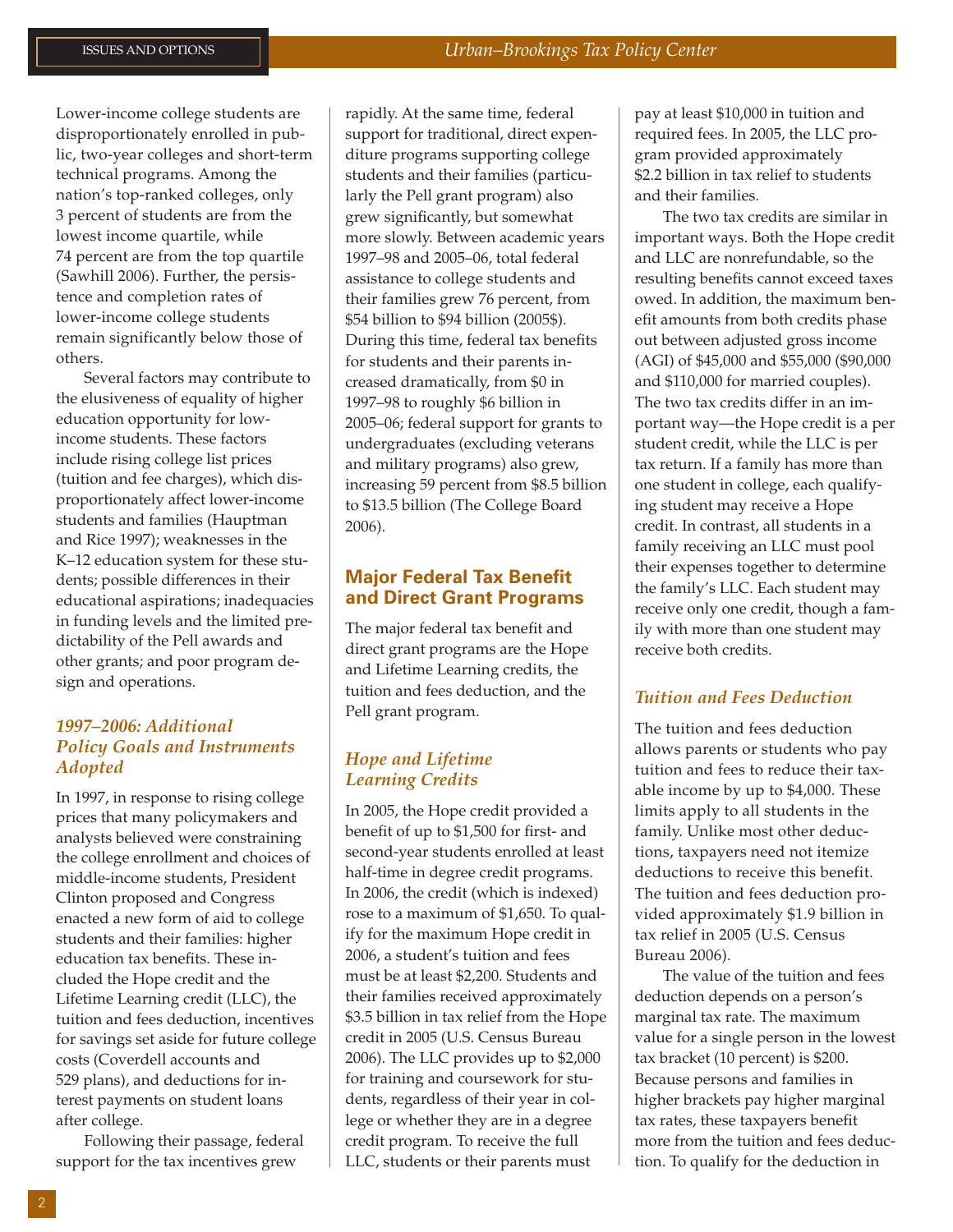Lower-income college students are disproportionately enrolled in public, two-year colleges and short-term technical programs. Among the nation's top-ranked colleges, only 3 percent of students are from the lowest income quartile, while 74 percent are from the top quartile (Sawhill 2006). Further, the persistence and completion rates of lower-income college students remain significantly below those of others.

Several factors may contribute to the elusiveness of equality of higher education opportunity for lowincome students. These factors include rising college list prices (tuition and fee charges), which disproportionately affect lower-income students and families (Hauptman and Rice 1997); weaknesses in the K–12 education system for these students; possible differences in their educational aspirations; inadequacies in funding levels and the limited predictability of the Pell awards and other grants; and poor program design and operations.

#### *1997–2006: Additional Policy Goals and Instruments Adopted*

In 1997, in response to rising college prices that many policymakers and analysts believed were constraining the college enrollment and choices of middle-income students, President Clinton proposed and Congress enacted a new form of aid to college students and their families: higher education tax benefits. These included the Hope credit and the Lifetime Learning credit (LLC), the tuition and fees deduction, incentives for savings set aside for future college costs (Coverdell accounts and 529 plans), and deductions for interest payments on student loans after college.

Following their passage, federal support for the tax incentives grew

rapidly. At the same time, federal support for traditional, direct expenditure programs supporting college students and their families (particularly the Pell grant program) also grew significantly, but somewhat more slowly. Between academic years 1997–98 and 2005–06, total federal assistance to college students and their families grew 76 percent, from \$54 billion to \$94 billion (2005\$). During this time, federal tax benefits for students and their parents increased dramatically, from \$0 in 1997–98 to roughly \$6 billion in 2005–06; federal support for grants to undergraduates (excluding veterans and military programs) also grew, increasing 59 percent from \$8.5 billion to \$13.5 billion (The College Board 2006).

#### **Major Federal Tax Benefit and Direct Grant Programs**

The major federal tax benefit and direct grant programs are the Hope and Lifetime Learning credits, the tuition and fees deduction, and the Pell grant program.

#### *Hope and Lifetime Learning Credits*

In 2005, the Hope credit provided a benefit of up to \$1,500 for first- and second-year students enrolled at least half-time in degree credit programs. In 2006, the credit (which is indexed) rose to a maximum of \$1,650. To qualify for the maximum Hope credit in 2006, a student's tuition and fees must be at least \$2,200. Students and their families received approximately \$3.5 billion in tax relief from the Hope credit in 2005 (U.S. Census Bureau 2006). The LLC provides up to \$2,000 for training and coursework for students, regardless of their year in college or whether they are in a degree credit program. To receive the full LLC, students or their parents must

pay at least \$10,000 in tuition and required fees. In 2005, the LLC program provided approximately \$2.2 billion in tax relief to students and their families.

The two tax credits are similar in important ways. Both the Hope credit and LLC are nonrefundable, so the resulting benefits cannot exceed taxes owed. In addition, the maximum benefit amounts from both credits phase out between adjusted gross income (AGI) of \$45,000 and \$55,000 (\$90,000 and \$110,000 for married couples). The two tax credits differ in an important way—the Hope credit is a per student credit, while the LLC is per tax return. If a family has more than one student in college, each qualifying student may receive a Hope credit. In contrast, all students in a family receiving an LLC must pool their expenses together to determine the family's LLC. Each student may receive only one credit, though a family with more than one student may receive both credits.

#### *Tuition and Fees Deduction*

The tuition and fees deduction allows parents or students who pay tuition and fees to reduce their taxable income by up to \$4,000. These limits apply to all students in the family. Unlike most other deductions, taxpayers need not itemize deductions to receive this benefit. The tuition and fees deduction provided approximately \$1.9 billion in tax relief in 2005 (U.S. Census Bureau 2006).

The value of the tuition and fees deduction depends on a person's marginal tax rate. The maximum value for a single person in the lowest tax bracket (10 percent) is \$200. Because persons and families in higher brackets pay higher marginal tax rates, these taxpayers benefit more from the tuition and fees deduction. To qualify for the deduction in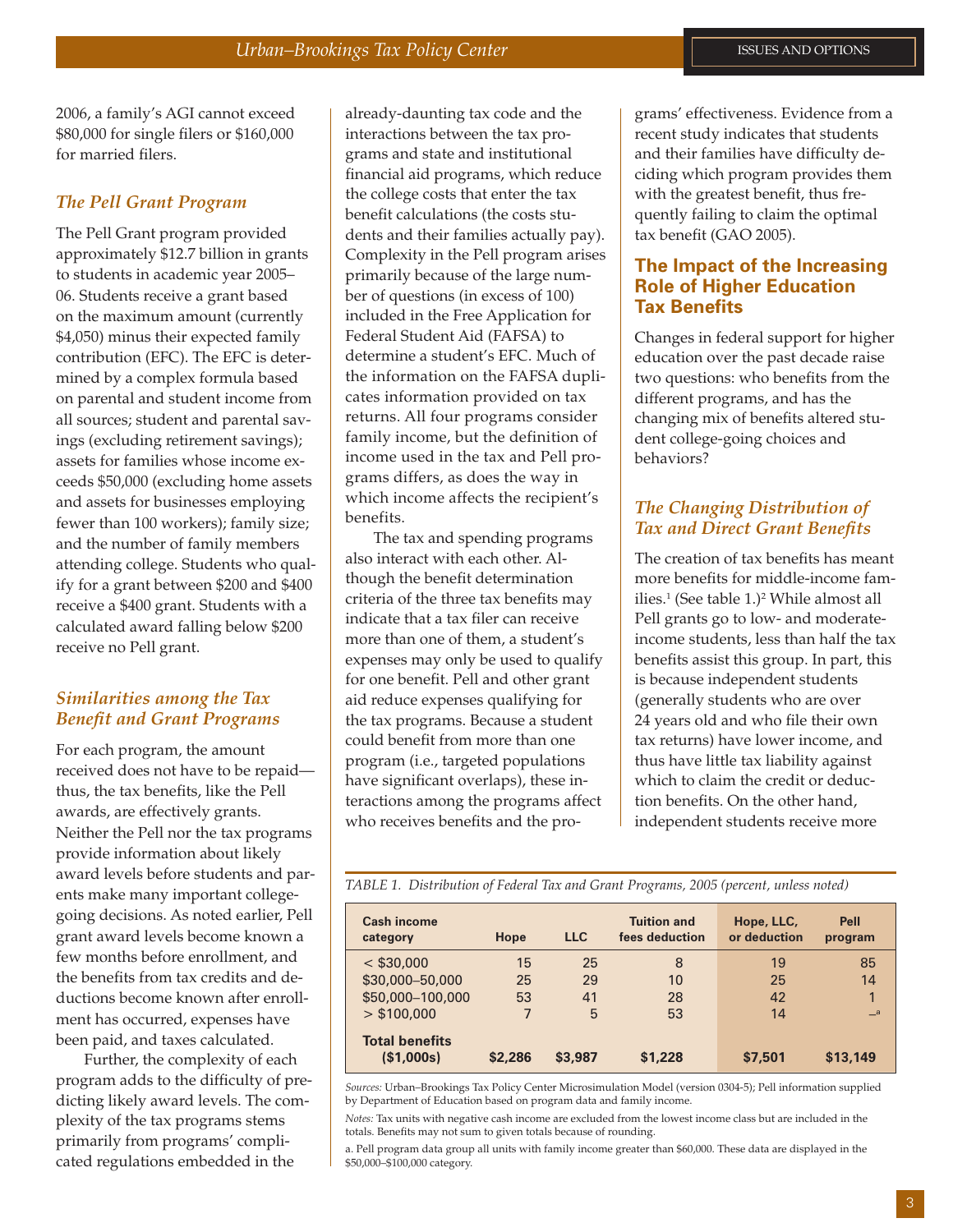2006, a family's AGI cannot exceed \$80,000 for single filers or \$160,000 for married filers.

#### *The Pell Grant Program*

The Pell Grant program provided approximately \$12.7 billion in grants to students in academic year 2005– 06. Students receive a grant based on the maximum amount (currently \$4,050) minus their expected family contribution (EFC). The EFC is determined by a complex formula based on parental and student income from all sources; student and parental savings (excluding retirement savings); assets for families whose income exceeds \$50,000 (excluding home assets and assets for businesses employing fewer than 100 workers); family size; and the number of family members attending college. Students who qualify for a grant between \$200 and \$400 receive a \$400 grant. Students with a calculated award falling below \$200 receive no Pell grant.

#### *Similarities among the Tax Benefit and Grant Programs*

For each program, the amount received does not have to be repaid thus, the tax benefits, like the Pell awards, are effectively grants. Neither the Pell nor the tax programs provide information about likely award levels before students and parents make many important collegegoing decisions. As noted earlier, Pell grant award levels become known a few months before enrollment, and the benefits from tax credits and deductions become known after enrollment has occurred, expenses have been paid, and taxes calculated.

Further, the complexity of each program adds to the difficulty of predicting likely award levels. The complexity of the tax programs stems primarily from programs' complicated regulations embedded in the

already-daunting tax code and the interactions between the tax programs and state and institutional financial aid programs, which reduce the college costs that enter the tax benefit calculations (the costs students and their families actually pay). Complexity in the Pell program arises primarily because of the large number of questions (in excess of 100) included in the Free Application for Federal Student Aid (FAFSA) to determine a student's EFC. Much of the information on the FAFSA duplicates information provided on tax returns. All four programs consider family income, but the definition of income used in the tax and Pell programs differs, as does the way in which income affects the recipient's benefits.

The tax and spending programs also interact with each other. Although the benefit determination criteria of the three tax benefits may indicate that a tax filer can receive more than one of them, a student's expenses may only be used to qualify for one benefit. Pell and other grant aid reduce expenses qualifying for the tax programs. Because a student could benefit from more than one program (i.e., targeted populations have significant overlaps), these interactions among the programs affect who receives benefits and the programs' effectiveness. Evidence from a recent study indicates that students and their families have difficulty deciding which program provides them with the greatest benefit, thus frequently failing to claim the optimal tax benefit (GAO 2005).

#### **The Impact of the Increasing Role of Higher Education Tax Benefits**

Changes in federal support for higher education over the past decade raise two questions: who benefits from the different programs, and has the changing mix of benefits altered student college-going choices and behaviors?

#### *The Changing Distribution of Tax and Direct Grant Benefits*

The creation of tax benefits has meant more benefits for middle-income families.<sup>1</sup> (See table 1.)<sup>2</sup> While almost all Pell grants go to low- and moderateincome students, less than half the tax benefits assist this group. In part, this is because independent students (generally students who are over 24 years old and who file their own tax returns) have lower income, and thus have little tax liability against which to claim the credit or deduction benefits. On the other hand, independent students receive more

*TABLE 1. Distribution of Federal Tax and Grant Programs, 2005 (percent, unless noted)*

| <b>Cash income</b><br>category      | Hope    | <b>LLC</b> | <b>Tuition and</b><br>fees deduction | Hope, LLC,<br>or deduction | Pell<br>program |
|-------------------------------------|---------|------------|--------------------------------------|----------------------------|-----------------|
| $<$ \$30,000                        | 15      | 25         | 8                                    | 19                         | 85              |
| \$30,000-50,000                     | 25      | 29         | 10                                   | 25                         | 14              |
| \$50,000-100,000                    | 53      | 41         | 28                                   | 42                         |                 |
| $>$ \$100,000                       | 7       | 5          | 53                                   | 14                         | a               |
| <b>Total benefits</b><br>(\$1,000s) | \$2,286 | \$3,987    | \$1,228                              | \$7,501                    | \$13,149        |

*Sources:* Urban–Brookings Tax Policy Center Microsimulation Model (version 0304-5); Pell information supplied by Department of Education based on program data and family income.

*Notes:* Tax units with negative cash income are excluded from the lowest income class but are included in the totals. Benefits may not sum to given totals because of rounding.

a. Pell program data group all units with family income greater than \$60,000. These data are displayed in the \$50,000–\$100,000 category.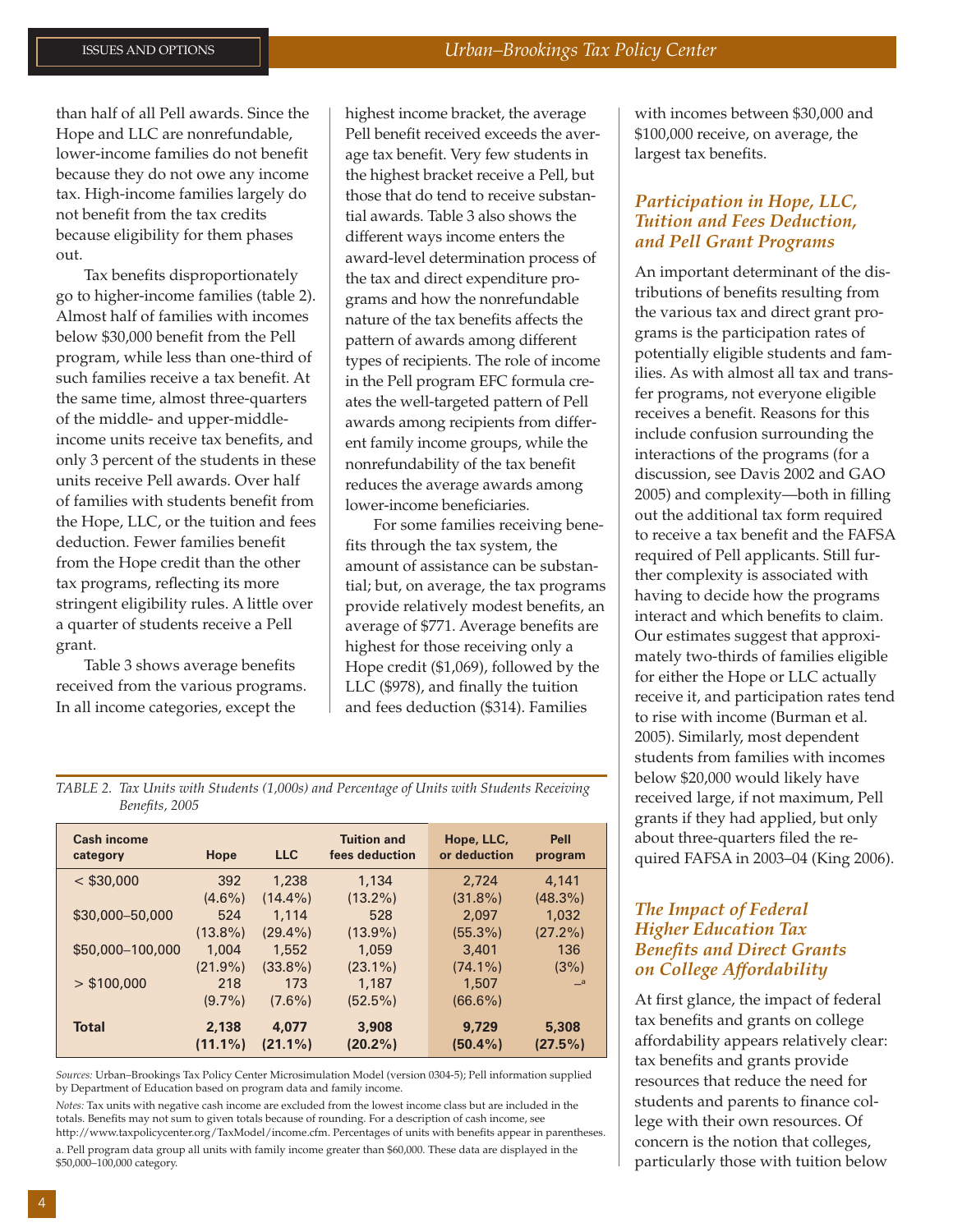than half of all Pell awards. Since the Hope and LLC are nonrefundable, lower-income families do not benefit because they do not owe any income tax. High-income families largely do not benefit from the tax credits because eligibility for them phases out.

Tax benefits disproportionately go to higher-income families (table 2). Almost half of families with incomes below \$30,000 benefit from the Pell program, while less than one-third of such families receive a tax benefit. At the same time, almost three-quarters of the middle- and upper-middleincome units receive tax benefits, and only 3 percent of the students in these units receive Pell awards. Over half of families with students benefit from the Hope, LLC, or the tuition and fees deduction. Fewer families benefit from the Hope credit than the other tax programs, reflecting its more stringent eligibility rules. A little over a quarter of students receive a Pell grant.

Table 3 shows average benefits received from the various programs. In all income categories, except the

highest income bracket, the average Pell benefit received exceeds the average tax benefit. Very few students in the highest bracket receive a Pell, but those that do tend to receive substantial awards. Table 3 also shows the different ways income enters the award-level determination process of the tax and direct expenditure programs and how the nonrefundable nature of the tax benefits affects the pattern of awards among different types of recipients. The role of income in the Pell program EFC formula creates the well-targeted pattern of Pell awards among recipients from different family income groups, while the nonrefundability of the tax benefit reduces the average awards among lower-income beneficiaries.

For some families receiving benefits through the tax system, the amount of assistance can be substantial; but, on average, the tax programs provide relatively modest benefits, an average of \$771. Average benefits are highest for those receiving only a Hope credit (\$1,069), followed by the LLC (\$978), and finally the tuition and fees deduction (\$314). Families

with incomes between \$30,000 and \$100,000 receive, on average, the largest tax benefits.

#### *Participation in Hope, LLC, Tuition and Fees Deduction, and Pell Grant Programs*

An important determinant of the distributions of benefits resulting from the various tax and direct grant programs is the participation rates of potentially eligible students and families. As with almost all tax and transfer programs, not everyone eligible receives a benefit. Reasons for this include confusion surrounding the interactions of the programs (for a discussion, see Davis 2002 and GAO 2005) and complexity—both in filling out the additional tax form required to receive a tax benefit and the FAFSA required of Pell applicants. Still further complexity is associated with having to decide how the programs interact and which benefits to claim. Our estimates suggest that approximately two-thirds of families eligible for either the Hope or LLC actually receive it, and participation rates tend to rise with income (Burman et al. 2005). Similarly, most dependent students from families with incomes below \$20,000 would likely have received large, if not maximum, Pell grants if they had applied, but only about three-quarters filed the required FAFSA in 2003–04 (King 2006).

#### *The Impact of Federal Higher Education Tax Benefits and Direct Grants on College Affordability*

At first glance, the impact of federal tax benefits and grants on college affordability appears relatively clear: tax benefits and grants provide resources that reduce the need for students and parents to finance college with their own resources. Of concern is the notion that colleges, particularly those with tuition below

*TABLE 2. Tax Units with Students (1,000s) and Percentage of Units with Students Receiving Benefits, 2005*

| <b>Cash income</b><br>category | Hope                | <b>LLC</b>          | <b>Tuition and</b><br>fees deduction | Hope, LLC,<br>or deduction | Pell<br>program  |
|--------------------------------|---------------------|---------------------|--------------------------------------|----------------------------|------------------|
| $<$ \$30,000                   | 392                 | 1,238               | 1.134                                | 2.724                      | 4.141            |
|                                | $(4.6\%)$           | $(14.4\%)$          | $(13.2\%)$                           | $(31.8\%)$                 | $(48.3\%)$       |
| \$30,000-50,000                | 524                 | 1.114               | 528                                  | 2,097                      | 1,032            |
|                                | $(13.8\%)$          | $(29.4\%)$          | $(13.9\%)$                           | $(55.3\%)$                 | $(27.2\%)$       |
| \$50,000-100,000               | 1,004               | 1,552               | 1,059                                | 3,401                      | 136              |
|                                | $(21.9\%)$          | $(33.8\%)$          | $(23.1\%)$                           | $(74.1\%)$                 | (3%)             |
| $>$ \$100,000                  | 218                 | 173                 | 1,187                                | 1.507                      | a                |
|                                | $(9.7\%)$           | $(7.6\%)$           | $(52.5\%)$                           | $(66.6\%)$                 |                  |
| <b>Total</b>                   | 2,138<br>$(11.1\%)$ | 4,077<br>$(21.1\%)$ | 3,908<br>$(20.2\%)$                  | 9,729<br>$(50.4\%)$        | 5,308<br>(27.5%) |

*Sources:* Urban–Brookings Tax Policy Center Microsimulation Model (version 0304-5); Pell information supplied by Department of Education based on program data and family income.

*Notes:* Tax units with negative cash income are excluded from the lowest income class but are included in the totals. Benefits may not sum to given totals because of rounding. For a description of cash income, see http://www.taxpolicycenter.org/TaxModel/income.cfm. Percentages of units with benefits appear in parentheses. a. Pell program data group all units with family income greater than \$60,000. These data are displayed in the \$50,000–100,000 category.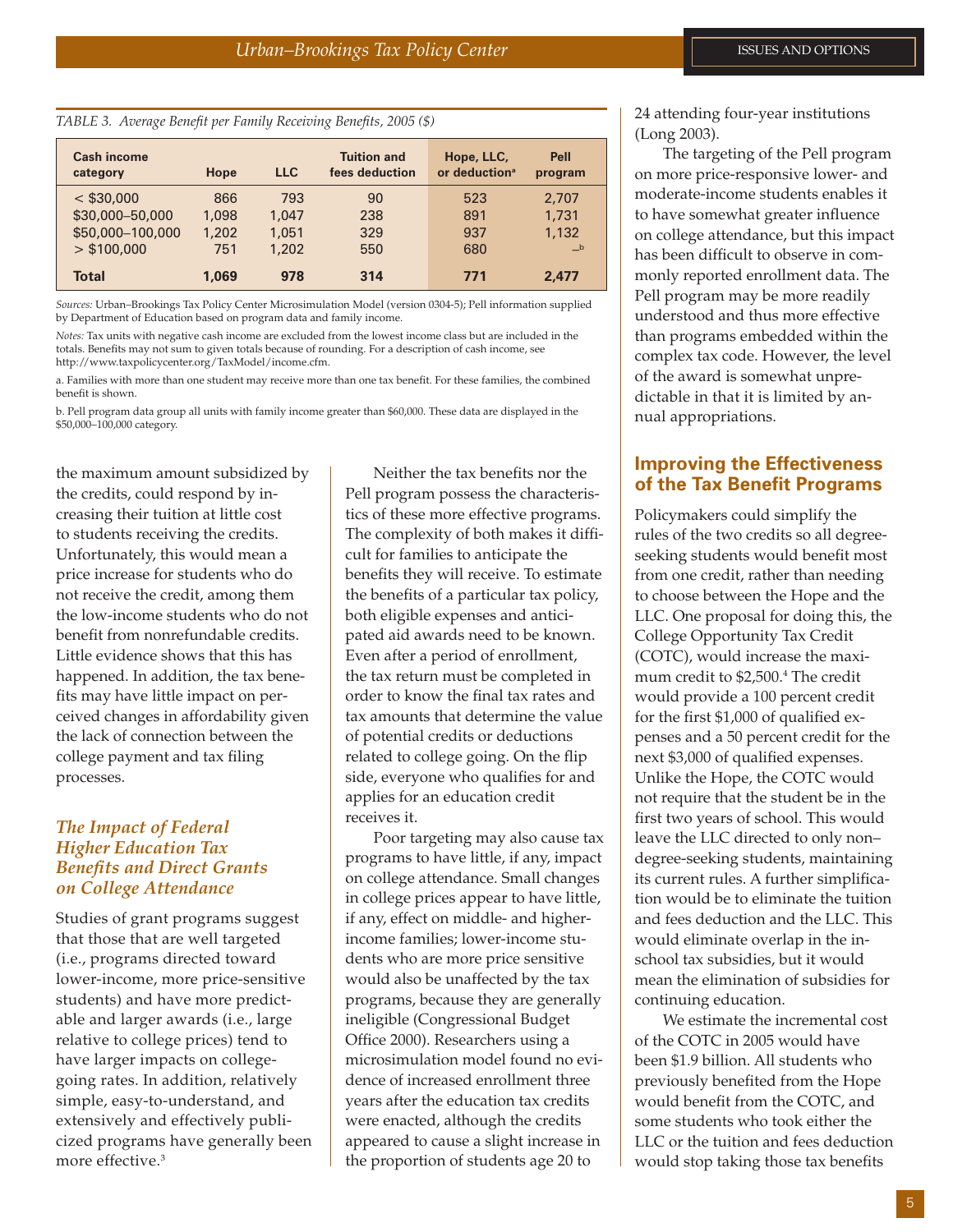| TABLE 3. Average Benefit per Family Receiving Benefits, 2005 (\$) |  |  |  |  |  |  |
|-------------------------------------------------------------------|--|--|--|--|--|--|
|-------------------------------------------------------------------|--|--|--|--|--|--|

| <b>Cash income</b><br>category | Hope  | <b>LLC</b> | <b>Tuition and</b><br>fees deduction | Hope, LLC,<br>or deduction <sup>a</sup> | Pell<br>program |
|--------------------------------|-------|------------|--------------------------------------|-----------------------------------------|-----------------|
| $<$ \$30,000                   | 866   | 793        | 90                                   | 523                                     | 2,707           |
| \$30,000-50,000                | 1,098 | 1.047      | 238                                  | 891                                     | 1,731           |
| \$50,000-100,000               | 1,202 | 1.051      | 329                                  | 937                                     | 1.132           |
| $>$ \$100,000                  | 751   | 1,202      | 550                                  | 680                                     | $-b$            |
| <b>Total</b>                   | 1.069 | 978        | 314                                  | 771                                     | 2.477           |

*Sources:* Urban–Brookings Tax Policy Center Microsimulation Model (version 0304-5); Pell information supplied by Department of Education based on program data and family income.

*Notes:* Tax units with negative cash income are excluded from the lowest income class but are included in the totals. Benefits may not sum to given totals because of rounding. For a description of cash income, see http://www.taxpolicycenter.org/TaxModel/income.cfm.

a. Families with more than one student may receive more than one tax benefit. For these families, the combined benefit is shown.

b. Pell program data group all units with family income greater than \$60,000. These data are displayed in the \$50,000–100,000 category.

the maximum amount subsidized by the credits, could respond by increasing their tuition at little cost to students receiving the credits. Unfortunately, this would mean a price increase for students who do not receive the credit, among them the low-income students who do not benefit from nonrefundable credits. Little evidence shows that this has happened. In addition, the tax benefits may have little impact on perceived changes in affordability given the lack of connection between the college payment and tax filing processes.

#### *The Impact of Federal Higher Education Tax Benefits and Direct Grants on College Attendance*

Studies of grant programs suggest that those that are well targeted (i.e., programs directed toward lower-income, more price-sensitive students) and have more predictable and larger awards (i.e., large relative to college prices) tend to have larger impacts on collegegoing rates. In addition, relatively simple, easy-to-understand, and extensively and effectively publicized programs have generally been more effective.3

Neither the tax benefits nor the Pell program possess the characteristics of these more effective programs. The complexity of both makes it difficult for families to anticipate the benefits they will receive. To estimate the benefits of a particular tax policy, both eligible expenses and anticipated aid awards need to be known. Even after a period of enrollment, the tax return must be completed in order to know the final tax rates and tax amounts that determine the value of potential credits or deductions related to college going. On the flip side, everyone who qualifies for and applies for an education credit receives it.

Poor targeting may also cause tax programs to have little, if any, impact on college attendance. Small changes in college prices appear to have little, if any, effect on middle- and higherincome families; lower-income students who are more price sensitive would also be unaffected by the tax programs, because they are generally ineligible (Congressional Budget Office 2000). Researchers using a microsimulation model found no evidence of increased enrollment three years after the education tax credits were enacted, although the credits appeared to cause a slight increase in the proportion of students age 20 to

24 attending four-year institutions (Long 2003).

The targeting of the Pell program on more price-responsive lower- and moderate-income students enables it to have somewhat greater influence on college attendance, but this impact has been difficult to observe in commonly reported enrollment data. The Pell program may be more readily understood and thus more effective than programs embedded within the complex tax code. However, the level of the award is somewhat unpredictable in that it is limited by annual appropriations.

#### **Improving the Effectiveness of the Tax Benefit Programs**

Policymakers could simplify the rules of the two credits so all degreeseeking students would benefit most from one credit, rather than needing to choose between the Hope and the LLC. One proposal for doing this, the College Opportunity Tax Credit (COTC), would increase the maximum credit to \$2,500.4 The credit would provide a 100 percent credit for the first \$1,000 of qualified expenses and a 50 percent credit for the next \$3,000 of qualified expenses. Unlike the Hope, the COTC would not require that the student be in the first two years of school. This would leave the LLC directed to only non– degree-seeking students, maintaining its current rules. A further simplification would be to eliminate the tuition and fees deduction and the LLC. This would eliminate overlap in the inschool tax subsidies, but it would mean the elimination of subsidies for continuing education.

We estimate the incremental cost of the COTC in 2005 would have been \$1.9 billion. All students who previously benefited from the Hope would benefit from the COTC, and some students who took either the LLC or the tuition and fees deduction would stop taking those tax benefits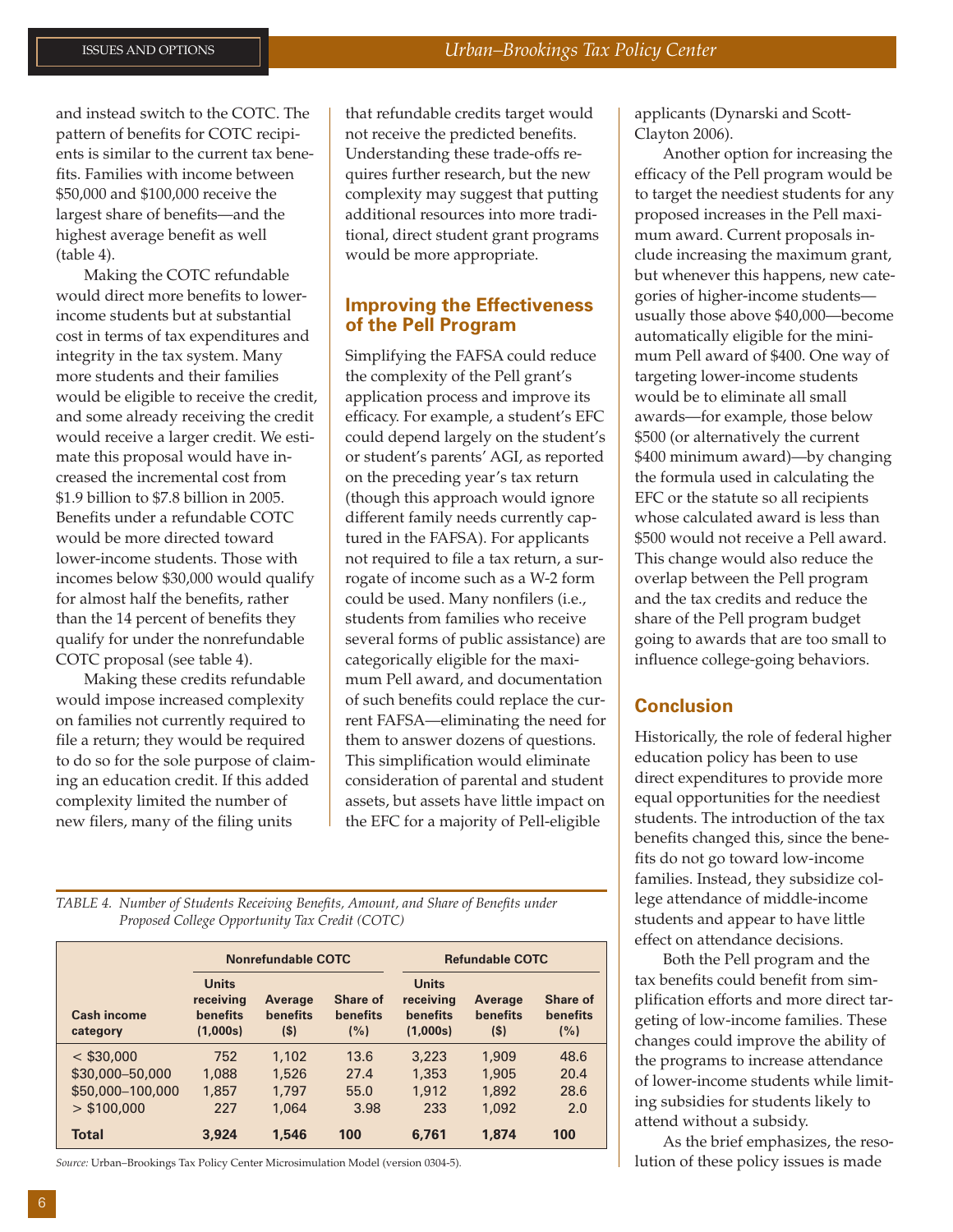and instead switch to the COTC. The pattern of benefits for COTC recipients is similar to the current tax benefits. Families with income between \$50,000 and \$100,000 receive the largest share of benefits—and the highest average benefit as well (table 4).

Making the COTC refundable would direct more benefits to lowerincome students but at substantial cost in terms of tax expenditures and integrity in the tax system. Many more students and their families would be eligible to receive the credit, and some already receiving the credit would receive a larger credit. We estimate this proposal would have increased the incremental cost from \$1.9 billion to \$7.8 billion in 2005. Benefits under a refundable COTC would be more directed toward lower-income students. Those with incomes below \$30,000 would qualify for almost half the benefits, rather than the 14 percent of benefits they qualify for under the nonrefundable COTC proposal (see table 4).

Making these credits refundable would impose increased complexity on families not currently required to file a return; they would be required to do so for the sole purpose of claiming an education credit. If this added complexity limited the number of new filers, many of the filing units

that refundable credits target would not receive the predicted benefits. Understanding these trade-offs requires further research, but the new complexity may suggest that putting additional resources into more traditional, direct student grant programs would be more appropriate.

#### **Improving the Effectiveness of the Pell Program**

Simplifying the FAFSA could reduce the complexity of the Pell grant's application process and improve its efficacy. For example, a student's EFC could depend largely on the student's or student's parents' AGI, as reported on the preceding year's tax return (though this approach would ignore different family needs currently captured in the FAFSA). For applicants not required to file a tax return, a surrogate of income such as a W-2 form could be used. Many nonfilers (i.e., students from families who receive several forms of public assistance) are categorically eligible for the maximum Pell award, and documentation of such benefits could replace the current FAFSA—eliminating the need for them to answer dozens of questions. This simplification would eliminate consideration of parental and student assets, but assets have little impact on the EFC for a majority of Pell-eligible

*TABLE 4. Number of Students Receiving Benefits, Amount, and Share of Benefits under Proposed College Opportunity Tax Credit (COTC)*

|                                | <b>Nonrefundable COTC</b>                         |                                       |                             | <b>Refundable COTC</b>                            |                                       |                             |
|--------------------------------|---------------------------------------------------|---------------------------------------|-----------------------------|---------------------------------------------------|---------------------------------------|-----------------------------|
| <b>Cash income</b><br>category | <b>Units</b><br>receiving<br>benefits<br>(1,000s) | <b>Average</b><br>benefits<br>$($ \$) | Share of<br>benefits<br>(%) | <b>Units</b><br>receiving<br>benefits<br>(1,000s) | <b>Average</b><br>benefits<br>$($ \$) | Share of<br>benefits<br>(%) |
| $<$ \$30,000                   | 752                                               | 1,102                                 | 13.6                        | 3,223                                             | 1,909                                 | 48.6                        |
| \$30,000-50,000                | 1,088                                             | 1,526                                 | 27.4                        | 1,353                                             | 1,905                                 | 20.4                        |
| \$50,000-100,000               | 1,857                                             | 1.797                                 | 55.0                        | 1.912                                             | 1,892                                 | 28.6                        |
| $>$ \$100,000                  | 227                                               | 1,064                                 | 3.98                        | 233                                               | 1,092                                 | 2.0                         |
| <b>Total</b>                   | 3.924                                             | 1.546                                 | 100                         | 6.761                                             | 1.874                                 | 100                         |

*Source:* Urban–Brookings Tax Policy Center Microsimulation Model (version 0304-5).

applicants (Dynarski and Scott-Clayton 2006).

Another option for increasing the efficacy of the Pell program would be to target the neediest students for any proposed increases in the Pell maximum award. Current proposals include increasing the maximum grant, but whenever this happens, new categories of higher-income students usually those above \$40,000—become automatically eligible for the minimum Pell award of \$400. One way of targeting lower-income students would be to eliminate all small awards—for example, those below \$500 (or alternatively the current \$400 minimum award)—by changing the formula used in calculating the EFC or the statute so all recipients whose calculated award is less than \$500 would not receive a Pell award. This change would also reduce the overlap between the Pell program and the tax credits and reduce the share of the Pell program budget going to awards that are too small to influence college-going behaviors.

#### **Conclusion**

Historically, the role of federal higher education policy has been to use direct expenditures to provide more equal opportunities for the neediest students. The introduction of the tax benefits changed this, since the benefits do not go toward low-income families. Instead, they subsidize college attendance of middle-income students and appear to have little effect on attendance decisions.

Both the Pell program and the tax benefits could benefit from simplification efforts and more direct targeting of low-income families. These changes could improve the ability of the programs to increase attendance of lower-income students while limiting subsidies for students likely to attend without a subsidy.

As the brief emphasizes, the resolution of these policy issues is made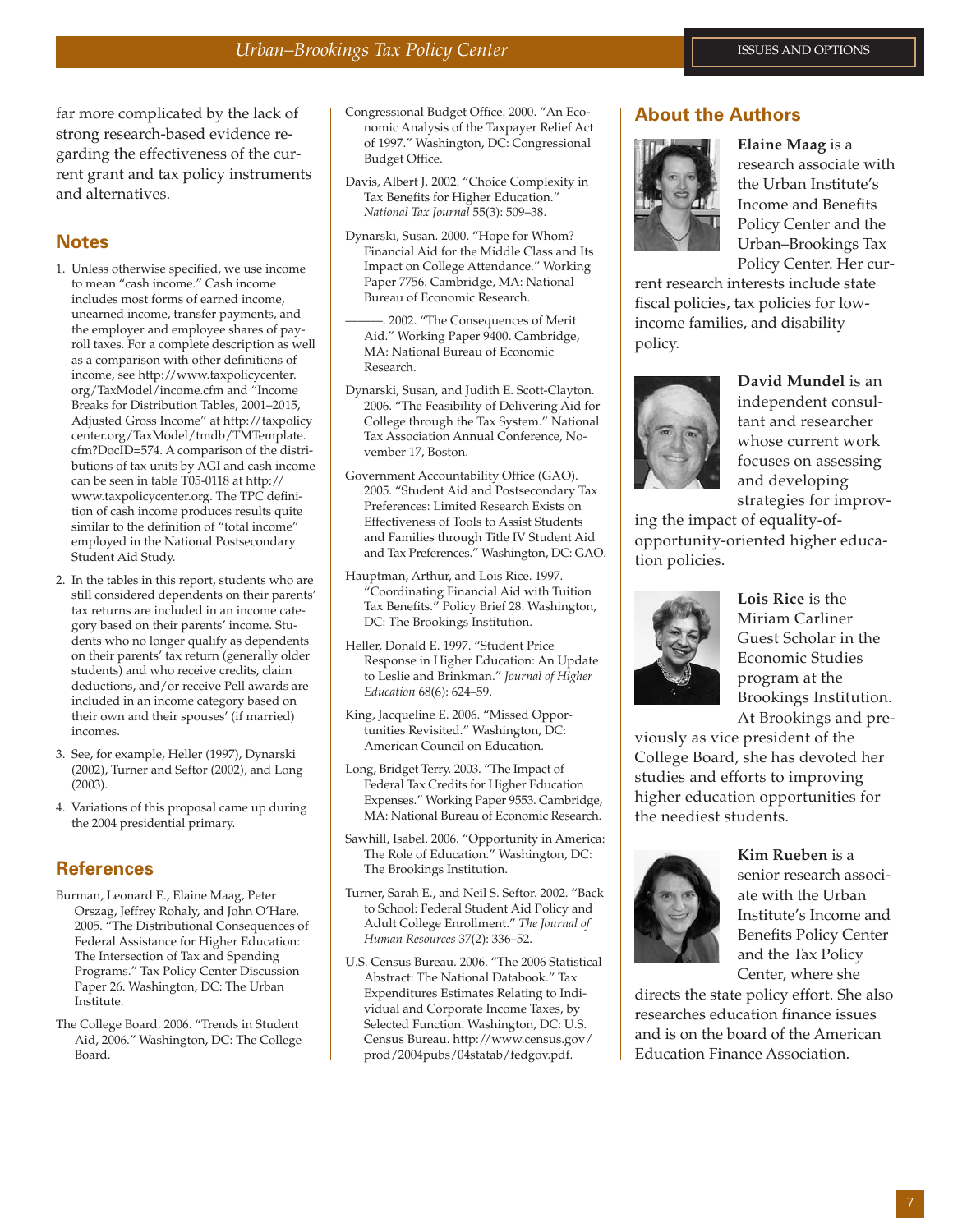far more complicated by the lack of strong research-based evidence regarding the effectiveness of the current grant and tax policy instruments and alternatives.

#### **Notes**

- 1. Unless otherwise specified, we use income to mean "cash income." Cash income includes most forms of earned income, unearned income, transfer payments, and the employer and employee shares of payroll taxes. For a complete description as well as a comparison with other definitions of income, see http://www.taxpolicycenter. org/TaxModel/income.cfm and "Income Breaks for Distribution Tables, 2001–2015, Adjusted Gross Income" at http://taxpolicy center.org/TaxModel/tmdb/TMTemplate. cfm?DocID=574. A comparison of the distributions of tax units by AGI and cash income can be seen in table T05-0118 at http:// www.taxpolicycenter.org. The TPC definition of cash income produces results quite similar to the definition of "total income" employed in the National Postsecondary Student Aid Study.
- 2. In the tables in this report, students who are still considered dependents on their parents' tax returns are included in an income category based on their parents' income. Students who no longer qualify as dependents on their parents' tax return (generally older students) and who receive credits, claim deductions, and/or receive Pell awards are included in an income category based on their own and their spouses' (if married) incomes.
- 3. See, for example, Heller (1997), Dynarski (2002), Turner and Seftor (2002), and Long (2003).
- 4. Variations of this proposal came up during the 2004 presidential primary.

#### **References**

- Burman, Leonard E., Elaine Maag, Peter Orszag, Jeffrey Rohaly, and John O'Hare. 2005. "The Distributional Consequences of Federal Assistance for Higher Education: The Intersection of Tax and Spending Programs." Tax Policy Center Discussion Paper 26. Washington, DC: The Urban Institute.
- The College Board. 2006. "Trends in Student Aid, 2006." Washington, DC: The College Board.
- Congressional Budget Office. 2000. "An Economic Analysis of the Taxpayer Relief Act of 1997." Washington, DC: Congressional Budget Office.
- Davis, Albert J. 2002. "Choice Complexity in Tax Benefits for Higher Education." *National Tax Journal* 55(3): 509–38.
- Dynarski, Susan. 2000. "Hope for Whom? Financial Aid for the Middle Class and Its Impact on College Attendance." Working Paper 7756. Cambridge, MA: National Bureau of Economic Research.

2002. "The Consequences of Merit Aid." Working Paper 9400. Cambridge, MA: National Bureau of Economic Research.

- Dynarski, Susan, and Judith E. Scott-Clayton. 2006. "The Feasibility of Delivering Aid for College through the Tax System." National Tax Association Annual Conference, November 17, Boston.
- Government Accountability Office (GAO). 2005. "Student Aid and Postsecondary Tax Preferences: Limited Research Exists on Effectiveness of Tools to Assist Students and Families through Title IV Student Aid and Tax Preferences." Washington, DC: GAO.
- Hauptman, Arthur, and Lois Rice. 1997. "Coordinating Financial Aid with Tuition Tax Benefits." Policy Brief 28. Washington, DC: The Brookings Institution.
- Heller, Donald E. 1997. "Student Price Response in Higher Education: An Update to Leslie and Brinkman." *Journal of Higher Education* 68(6): 624–59.
- King, Jacqueline E. 2006. "Missed Opportunities Revisited." Washington, DC: American Council on Education.
- Long, Bridget Terry. 2003. "The Impact of Federal Tax Credits for Higher Education Expenses." Working Paper 9553. Cambridge, MA: National Bureau of Economic Research.
- Sawhill, Isabel. 2006. "Opportunity in America: The Role of Education." Washington, DC: The Brookings Institution.
- Turner, Sarah E., and Neil S. Seftor. 2002. "Back to School: Federal Student Aid Policy and Adult College Enrollment." *The Journal of Human Resources* 37(2): 336–52.
- U.S. Census Bureau. 2006. "The 2006 Statistical Abstract: The National Databook." Tax Expenditures Estimates Relating to Individual and Corporate Income Taxes, by Selected Function. Washington, DC: U.S. Census Bureau. http://www.census.gov/ prod/2004pubs/04statab/fedgov.pdf.

#### **About the Authors**



**Elaine Maag** is a research associate with the Urban Institute's Income and Benefits Policy Center and the Urban–Brookings Tax Policy Center. Her cur-

rent research interests include state fiscal policies, tax policies for lowincome families, and disability policy.



**David Mundel** is an independent consultant and researcher whose current work focuses on assessing and developing strategies for improv-

ing the impact of equality-ofopportunity-oriented higher education policies.



**Lois Rice** is the Miriam Carliner Guest Scholar in the Economic Studies program at the Brookings Institution. At Brookings and pre-

viously as vice president of the College Board, she has devoted her studies and efforts to improving higher education opportunities for the neediest students.



**Kim Rueben** is a senior research associate with the Urban Institute's Income and Benefits Policy Center and the Tax Policy Center, where she

directs the state policy effort. She also researches education finance issues and is on the board of the American Education Finance Association.